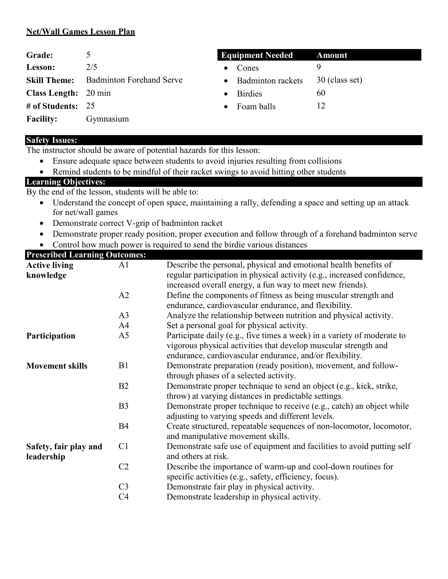### **Net/Wall Games Lesson Plan**

| Grade:                      |                                 |           | <b>Equipment Needed</b> | Amount         |
|-----------------------------|---------------------------------|-----------|-------------------------|----------------|
| Lesson:                     | 2/5                             | $\bullet$ | Cones                   |                |
| <b>Skill Theme:</b>         | <b>Badminton Forehand Serve</b> | $\bullet$ | Badminton rackets       | 30 (class set) |
| <b>Class Length:</b> 20 min |                                 | $\bullet$ | <b>Birdies</b>          | 60             |
| # of Students: $25$         |                                 | $\bullet$ | Foam balls              | 12             |
| <b>Facility:</b>            | Gymnasium                       |           |                         |                |

### **Safety Issues:**

The instructor should be aware of potential hazards for this lesson:

- Ensure adequate space between students to avoid injuries resulting from collisions
- Remind students to be mindful of their racket swings to avoid hitting other students

## **Learning Objectives:**

By the end of the lesson, students will be able to:

- Understand the concept of open space, maintaining a rally, defending a space and setting up an attack for net/wall games
- Demonstrate correct V-grip of badminton racket
- Demonstrate proper ready position, proper execution and follow through of a forehand badminton serve
- Control how much power is required to send the birdie various distances

| <b>Prescribed Learning Outcomes:</b> |                |                                                                                                                                            |  |  |  |
|--------------------------------------|----------------|--------------------------------------------------------------------------------------------------------------------------------------------|--|--|--|
| <b>Active living</b>                 | A <sub>1</sub> | Describe the personal, physical and emotional health benefits of                                                                           |  |  |  |
| knowledge                            |                | regular participation in physical activity (e.g., increased confidence,                                                                    |  |  |  |
|                                      |                | increased overall energy, a fun way to meet new friends).                                                                                  |  |  |  |
|                                      | A2             | Define the components of fitness as being muscular strength and                                                                            |  |  |  |
|                                      |                | endurance, cardiovascular endurance, and flexibility.                                                                                      |  |  |  |
|                                      | A <sub>3</sub> | Analyze the relationship between nutrition and physical activity.                                                                          |  |  |  |
|                                      | A4             | Set a personal goal for physical activity.                                                                                                 |  |  |  |
| Participation                        | A <sub>5</sub> | Participate daily (e.g., five times a week) in a variety of moderate to<br>vigorous physical activities that develop muscular strength and |  |  |  |
|                                      |                | endurance, cardiovascular endurance, and/or flexibility.                                                                                   |  |  |  |
| <b>Movement skills</b>               | B1             | Demonstrate preparation (ready position), movement, and follow-                                                                            |  |  |  |
|                                      |                | through phases of a selected activity.                                                                                                     |  |  |  |
|                                      | B2             | Demonstrate proper technique to send an object (e.g., kick, strike,                                                                        |  |  |  |
|                                      |                | throw) at varying distances in predictable settings.                                                                                       |  |  |  |
|                                      | B <sub>3</sub> | Demonstrate proper technique to receive (e.g., catch) an object while<br>adjusting to varying speeds and different levels.                 |  |  |  |
|                                      | <b>B4</b>      | Create structured, repeatable sequences of non-locomotor, locomotor,<br>and manipulative movement skills.                                  |  |  |  |
| Safety, fair play and<br>leadership  | C <sub>1</sub> | Demonstrate safe use of equipment and facilities to avoid putting self<br>and others at risk.                                              |  |  |  |
|                                      | C <sub>2</sub> | Describe the importance of warm-up and cool-down routines for<br>specific activities (e.g., safety, efficiency, focus).                    |  |  |  |
|                                      | C <sub>3</sub> | Demonstrate fair play in physical activity.                                                                                                |  |  |  |
|                                      | C <sub>4</sub> | Demonstrate leadership in physical activity.                                                                                               |  |  |  |
|                                      |                |                                                                                                                                            |  |  |  |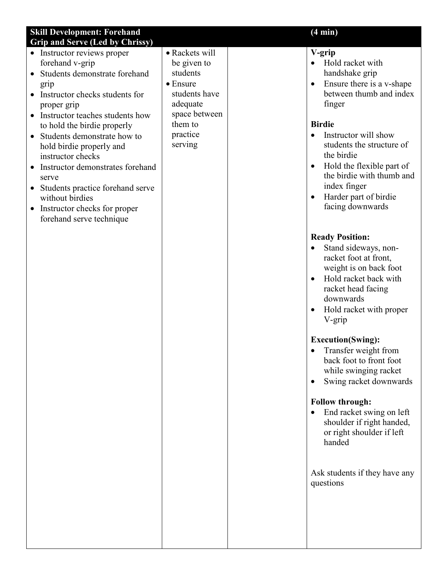| <b>Skill Development: Forehand</b>                                                                                                                                                                                                                                                                                                                                                                                                                                                   |                                                                                                                                               | (4 min) |                                                                                                                                                                                                                                                                                                                                                                                                                                                                                                                                                                                                                                                                                                                                                                                                                                                                                                      |  |  |  |
|--------------------------------------------------------------------------------------------------------------------------------------------------------------------------------------------------------------------------------------------------------------------------------------------------------------------------------------------------------------------------------------------------------------------------------------------------------------------------------------|-----------------------------------------------------------------------------------------------------------------------------------------------|---------|------------------------------------------------------------------------------------------------------------------------------------------------------------------------------------------------------------------------------------------------------------------------------------------------------------------------------------------------------------------------------------------------------------------------------------------------------------------------------------------------------------------------------------------------------------------------------------------------------------------------------------------------------------------------------------------------------------------------------------------------------------------------------------------------------------------------------------------------------------------------------------------------------|--|--|--|
| <b>Grip and Serve (Led by Chrissy)</b>                                                                                                                                                                                                                                                                                                                                                                                                                                               |                                                                                                                                               |         |                                                                                                                                                                                                                                                                                                                                                                                                                                                                                                                                                                                                                                                                                                                                                                                                                                                                                                      |  |  |  |
| • Instructor reviews proper<br>forehand v-grip<br>Students demonstrate forehand<br>grip<br>Instructor checks students for<br>proper grip<br>Instructor teaches students how<br>to hold the birdie properly<br>Students demonstrate how to<br>hold birdie properly and<br>instructor checks<br>Instructor demonstrates forehand<br>serve<br>Students practice forehand serve<br>$\bullet$<br>without birdies<br>Instructor checks for proper<br>$\bullet$<br>forehand serve technique | • Rackets will<br>be given to<br>students<br>$\bullet$ Ensure<br>students have<br>adequate<br>space between<br>them to<br>practice<br>serving |         | V-grip<br>Hold racket with<br>handshake grip<br>Ensure there is a v-shape<br>$\bullet$<br>between thumb and index<br>finger<br><b>Birdie</b><br>Instructor will show<br>$\bullet$<br>students the structure of<br>the birdie<br>Hold the flexible part of<br>$\bullet$<br>the birdie with thumb and<br>index finger<br>Harder part of birdie<br>$\bullet$<br>facing downwards<br><b>Ready Position:</b><br>Stand sideways, non-<br>racket foot at front,<br>weight is on back foot<br>Hold racket back with<br>$\bullet$<br>racket head facing<br>downwards<br>Hold racket with proper<br>$\bullet$<br>V-grip<br><b>Execution</b> (Swing):<br>Transfer weight from<br>$\bullet$<br>back foot to front foot<br>while swinging racket<br>Swing racket downwards<br><b>Follow through:</b><br>End racket swing on left<br>$\bullet$<br>shoulder if right handed,<br>or right shoulder if left<br>handed |  |  |  |
|                                                                                                                                                                                                                                                                                                                                                                                                                                                                                      |                                                                                                                                               |         |                                                                                                                                                                                                                                                                                                                                                                                                                                                                                                                                                                                                                                                                                                                                                                                                                                                                                                      |  |  |  |
|                                                                                                                                                                                                                                                                                                                                                                                                                                                                                      |                                                                                                                                               |         | Ask students if they have any<br>questions                                                                                                                                                                                                                                                                                                                                                                                                                                                                                                                                                                                                                                                                                                                                                                                                                                                           |  |  |  |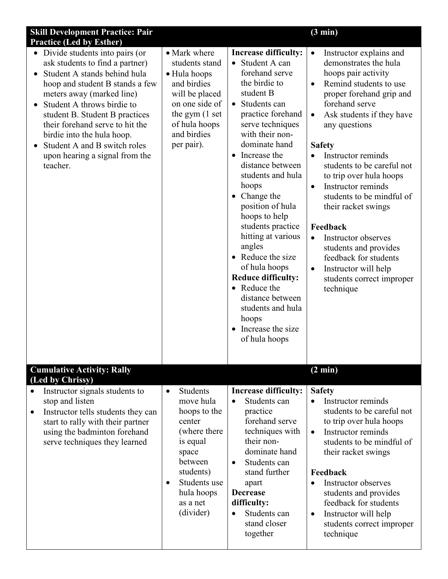| <b>Skill Development Practice: Pair</b><br><b>Practice (Led by Esther)</b>                                                                                                                                                                                                                                                                                                                      |                                                                                                                                                                                                      | $(3 \text{ min})$                                                                                                                                                                                                                                                                                                                                                                                                                                                                                                                                        |                                                                                                                                                                                                                                                                                                                                                                                                                                                                                                                                                                                                              |  |
|-------------------------------------------------------------------------------------------------------------------------------------------------------------------------------------------------------------------------------------------------------------------------------------------------------------------------------------------------------------------------------------------------|------------------------------------------------------------------------------------------------------------------------------------------------------------------------------------------------------|----------------------------------------------------------------------------------------------------------------------------------------------------------------------------------------------------------------------------------------------------------------------------------------------------------------------------------------------------------------------------------------------------------------------------------------------------------------------------------------------------------------------------------------------------------|--------------------------------------------------------------------------------------------------------------------------------------------------------------------------------------------------------------------------------------------------------------------------------------------------------------------------------------------------------------------------------------------------------------------------------------------------------------------------------------------------------------------------------------------------------------------------------------------------------------|--|
| • Divide students into pairs (or<br>ask students to find a partner)<br>Student A stands behind hula<br>hoop and student B stands a few<br>meters away (marked line)<br>Student A throws birdie to<br>$\bullet$<br>student B. Student B practices<br>their forehand serve to hit the<br>birdie into the hula hoop.<br>Student A and B switch roles<br>upon hearing a signal from the<br>teacher. | • Mark where<br>students stand<br>· Hula hoops<br>and birdies<br>will be placed<br>on one side of<br>the gym $(1$ set<br>of hula hoops<br>and birdies<br>per pair).                                  | <b>Increase difficulty:</b><br>• Student A can<br>forehand serve<br>the birdie to<br>student B<br>• Students can<br>practice forehand<br>serve techniques<br>with their non-<br>dominate hand<br>• Increase the<br>distance between<br>students and hula<br>hoops<br>• Change the<br>position of hula<br>hoops to help<br>students practice<br>hitting at various<br>angles<br>• Reduce the size<br>of hula hoops<br><b>Reduce difficulty:</b><br>• Reduce the<br>distance between<br>students and hula<br>hoops<br>• Increase the size<br>of hula hoops | Instructor explains and<br>$\bullet$<br>demonstrates the hula<br>hoops pair activity<br>Remind students to use<br>$\bullet$<br>proper forehand grip and<br>forehand serve<br>Ask students if they have<br>$\bullet$<br>any questions<br><b>Safety</b><br>Instructor reminds<br>students to be careful not<br>to trip over hula hoops<br>Instructor reminds<br>$\bullet$<br>students to be mindful of<br>their racket swings<br>Feedback<br>Instructor observes<br>$\bullet$<br>students and provides<br>feedback for students<br>Instructor will help<br>$\bullet$<br>students correct improper<br>technique |  |
| <b>Cumulative Activity: Rally</b><br>(Led by Chrissy)<br>Instructor signals students to<br>stop and listen<br>Instructor tells students they can<br>$\bullet$<br>start to rally with their partner<br>using the badminton forehand<br>serve techniques they learned                                                                                                                             | <b>Students</b><br>$\bullet$<br>move hula<br>hoops to the<br>center<br>(where there<br>is equal<br>space<br>between<br>students)<br>Students use<br>$\bullet$<br>hula hoops<br>as a net<br>(divider) | <b>Increase difficulty:</b><br>Students can<br>practice<br>forehand serve<br>techniques with<br>their non-<br>dominate hand<br>Students can<br>stand further<br>apart<br><b>Decrease</b><br>difficulty:<br>Students can<br>stand closer<br>together                                                                                                                                                                                                                                                                                                      | $(2 \text{ min})$<br><b>Safety</b><br>Instructor reminds<br>students to be careful not<br>to trip over hula hoops<br>Instructor reminds<br>$\bullet$<br>students to be mindful of<br>their racket swings<br>Feedback<br><b>Instructor</b> observes<br>students and provides<br>feedback for students<br>Instructor will help<br>$\bullet$<br>students correct improper<br>technique                                                                                                                                                                                                                          |  |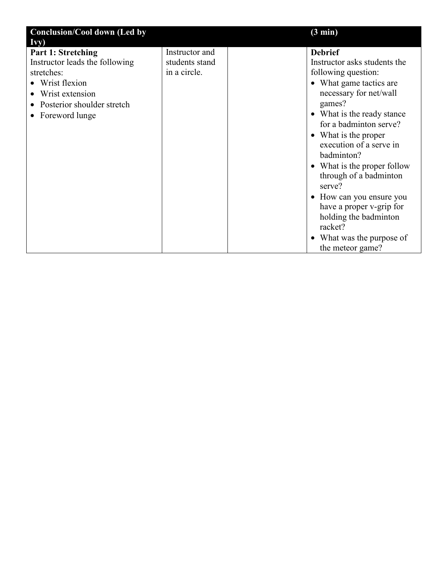| <b>Conclusion/Cool down (Led by</b><br>Ivy)                                                                                                                     |                                                  | $(3 \text{ min})$                                                                                                                                                                                                                                                                                                                                                                                                                                                           |
|-----------------------------------------------------------------------------------------------------------------------------------------------------------------|--------------------------------------------------|-----------------------------------------------------------------------------------------------------------------------------------------------------------------------------------------------------------------------------------------------------------------------------------------------------------------------------------------------------------------------------------------------------------------------------------------------------------------------------|
| <b>Part 1: Stretching</b><br>Instructor leads the following<br>stretches:<br>Wrist flexion<br>Wrist extension<br>Posterior shoulder stretch<br>• Foreword lunge | Instructor and<br>students stand<br>in a circle. | <b>Debrief</b><br>Instructor asks students the<br>following question:<br>• What game tactics are<br>necessary for net/wall<br>games?<br>• What is the ready stance<br>for a badminton serve?<br>• What is the proper<br>execution of a serve in<br>badminton?<br>• What is the proper follow<br>through of a badminton<br>serve?<br>• How can you ensure you<br>have a proper v-grip for<br>holding the badminton<br>racket?<br>What was the purpose of<br>the meteor game? |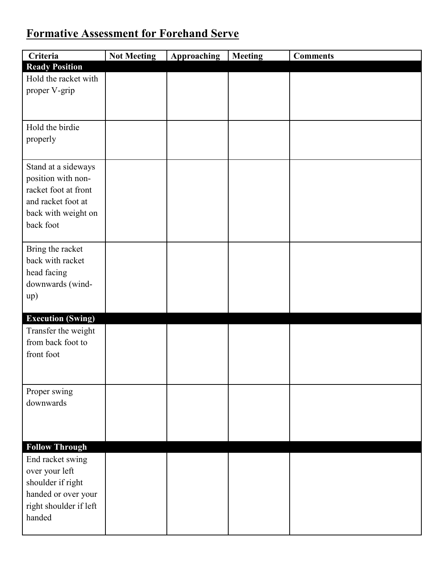# **Formative Assessment for Forehand Serve**

| Criteria                                                                                                                                    | <b>Not Meeting</b> | <b>Approaching</b> | <b>Meeting</b> | <b>Comments</b> |
|---------------------------------------------------------------------------------------------------------------------------------------------|--------------------|--------------------|----------------|-----------------|
| <b>Ready Position</b>                                                                                                                       |                    |                    |                |                 |
| Hold the racket with<br>proper V-grip                                                                                                       |                    |                    |                |                 |
| Hold the birdie<br>properly                                                                                                                 |                    |                    |                |                 |
| Stand at a sideways<br>position with non-<br>racket foot at front<br>and racket foot at<br>back with weight on<br>back foot                 |                    |                    |                |                 |
| Bring the racket<br>back with racket<br>head facing<br>downwards (wind-<br>up)                                                              |                    |                    |                |                 |
| <b>Execution (Swing)</b><br>Transfer the weight<br>from back foot to<br>front foot                                                          |                    |                    |                |                 |
| Proper swing<br>downwards                                                                                                                   |                    |                    |                |                 |
| <b>Follow Through</b><br>End racket swing<br>over your left<br>shoulder if right<br>handed or over your<br>right shoulder if left<br>handed |                    |                    |                |                 |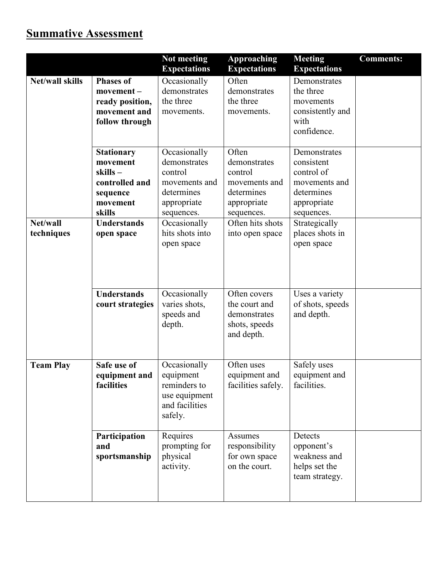## **Summative Assessment**

|                        |                    | Not meeting         | <b>Approaching</b>  | <b>Meeting</b>      | <b>Comments:</b> |
|------------------------|--------------------|---------------------|---------------------|---------------------|------------------|
|                        |                    | <b>Expectations</b> | <b>Expectations</b> | <b>Expectations</b> |                  |
| <b>Net/wall skills</b> | <b>Phases of</b>   | Occasionally        | Often               | Demonstrates        |                  |
|                        | movement-          | demonstrates        | demonstrates        | the three           |                  |
|                        | ready position,    | the three           | the three           | movements           |                  |
|                        | movement and       | movements.          | movements.          | consistently and    |                  |
|                        | follow through     |                     |                     | with                |                  |
|                        |                    |                     |                     | confidence.         |                  |
|                        | <b>Stationary</b>  | Occasionally        | Often               | Demonstrates        |                  |
|                        | movement           | demonstrates        | demonstrates        | consistent          |                  |
|                        | $skills -$         | control             | control             | control of          |                  |
|                        | controlled and     | movements and       | movements and       | movements and       |                  |
|                        | sequence           | determines          | determines          | determines          |                  |
|                        | movement           | appropriate         | appropriate         | appropriate         |                  |
|                        | skills             | sequences.          | sequences.          | sequences.          |                  |
| Net/wall               | <b>Understands</b> | Occasionally        | Often hits shots    | Strategically       |                  |
| techniques             | open space         | hits shots into     | into open space     | places shots in     |                  |
|                        |                    | open space          |                     | open space          |                  |
|                        |                    |                     |                     |                     |                  |
|                        |                    |                     |                     |                     |                  |
|                        |                    |                     |                     |                     |                  |
|                        |                    |                     |                     |                     |                  |
|                        | <b>Understands</b> | Occasionally        | Often covers        | Uses a variety      |                  |
|                        | court strategies   | varies shots,       | the court and       | of shots, speeds    |                  |
|                        |                    | speeds and          | demonstrates        | and depth.          |                  |
|                        |                    | depth.              | shots, speeds       |                     |                  |
|                        |                    |                     | and depth.          |                     |                  |
|                        |                    |                     |                     |                     |                  |
|                        |                    |                     |                     |                     |                  |
| <b>Team Play</b>       | Safe use of        | Occasionally        | Often uses          | Safely uses         |                  |
|                        | equipment and      | equipment           | equipment and       | equipment and       |                  |
|                        | facilities         | reminders to        | facilities safely.  | facilities.         |                  |
|                        |                    | use equipment       |                     |                     |                  |
|                        |                    | and facilities      |                     |                     |                  |
|                        |                    | safely.             |                     |                     |                  |
|                        |                    |                     |                     |                     |                  |
|                        | Participation      | Requires            | Assumes             | Detects             |                  |
|                        | and                | prompting for       | responsibility      | opponent's          |                  |
|                        | sportsmanship      | physical            | for own space       | weakness and        |                  |
|                        |                    | activity.           | on the court.       | helps set the       |                  |
|                        |                    |                     |                     | team strategy.      |                  |
|                        |                    |                     |                     |                     |                  |
|                        |                    |                     |                     |                     |                  |